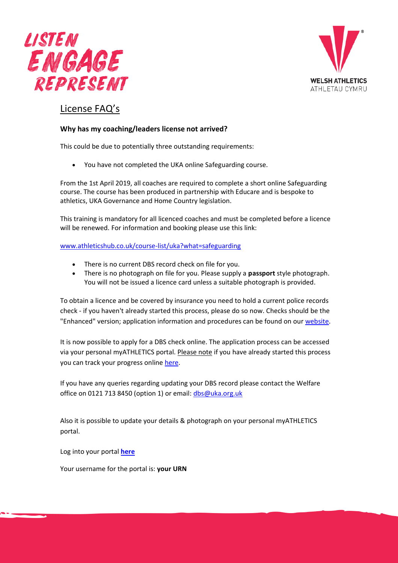



# License FAQ's

### **Why has my coaching/leaders license not arrived?**

This could be due to potentially three outstanding requirements:

• You have not completed the UKA online Safeguarding course.

From the 1st April 2019, all coaches are required to complete a short online Safeguarding course. The course has been produced in partnership with Educare and is bespoke to athletics, UKA Governance and Home Country legislation.

This training is mandatory for all licenced coaches and must be completed before a licence will be renewed. For information and booking please use this link:

[www.athleticshub.co.uk/course-list/uka?what=safeguarding](https://www.athleticshub.co.uk/course-list/uka?what=safeguarding)

- There is no current DBS record check on file for you.
- There is no photograph on file for you. Please supply a **passport** style photograph. You will not be issued a licence card unless a suitable photograph is provided.

To obtain a licence and be covered by insurance you need to hold a current police records check - if you haven't already started this process, please do so now. Checks should be the "Enhanced" version; application information and procedures can be found on our [website.](http://www.uka.org.uk/governance/welfare-and-safeguarding/dbs-processes/)

It is now possible to apply for a DBS check online. The application process can be accessed via your personal myATHLETICS portal. Please note if you have already started this process you can track your progress online [here.](https://secure.crbonline.gov.uk/enquiry/)

If you have any queries regarding updating your DBS record please contact the Welfare office on 0121 713 8450 (option 1) or email: [dbs@uka.org.uk](mailto:dbs@uka.org.uk)

Also it is possible to update your details & photograph on your personal myATHLETICS portal.

Log into your portal **[here](https://myathletics.uka.org.uk/portal/members/Login/)**

Your username for the portal is: **your URN**